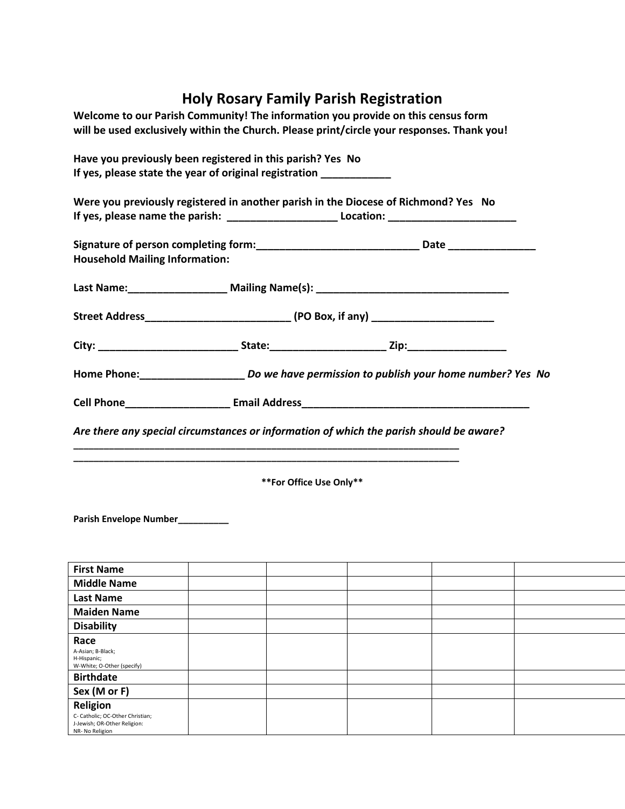## **Holy Rosary Family Parish Registration**

| Welcome to our Parish Community! The information you provide on this census form<br>will be used exclusively within the Church. Please print/circle your responses. Thank you! |  |                         |  |  |  |  |  |
|--------------------------------------------------------------------------------------------------------------------------------------------------------------------------------|--|-------------------------|--|--|--|--|--|
| Have you previously been registered in this parish? Yes No<br>If yes, please state the year of original registration ____________                                              |  |                         |  |  |  |  |  |
| Were you previously registered in another parish in the Diocese of Richmond? Yes No                                                                                            |  |                         |  |  |  |  |  |
| Signature of person completing form:_________________________________Date _________________________<br><b>Household Mailing Information:</b>                                   |  |                         |  |  |  |  |  |
| Last Name: ____________________ Mailing Name(s): _______________________________                                                                                               |  |                         |  |  |  |  |  |
|                                                                                                                                                                                |  |                         |  |  |  |  |  |
|                                                                                                                                                                                |  |                         |  |  |  |  |  |
| Home Phone:_____________________________Do we have permission to publish your home number? Yes No                                                                              |  |                         |  |  |  |  |  |
|                                                                                                                                                                                |  |                         |  |  |  |  |  |
| Are there any special circumstances or information of which the parish should be aware?                                                                                        |  |                         |  |  |  |  |  |
|                                                                                                                                                                                |  |                         |  |  |  |  |  |
|                                                                                                                                                                                |  | **For Office Use Only** |  |  |  |  |  |
| Parish Envelope Number_________                                                                                                                                                |  |                         |  |  |  |  |  |
| <b>First Name</b>                                                                                                                                                              |  |                         |  |  |  |  |  |
| <b>Middle Name</b>                                                                                                                                                             |  |                         |  |  |  |  |  |
| <b>Last Name</b>                                                                                                                                                               |  |                         |  |  |  |  |  |
| <b>Maiden Name</b>                                                                                                                                                             |  |                         |  |  |  |  |  |
| <b>Disability</b>                                                                                                                                                              |  |                         |  |  |  |  |  |

**Race** 

A-Asian; B-Black; H-Hispanic; W-White; O-Other (specify)

C- Catholic; OC-Other Christian; J-Jewish; OR-Other Religion: NR- No Religion

**Birthdate Sex (M or F) Religion**